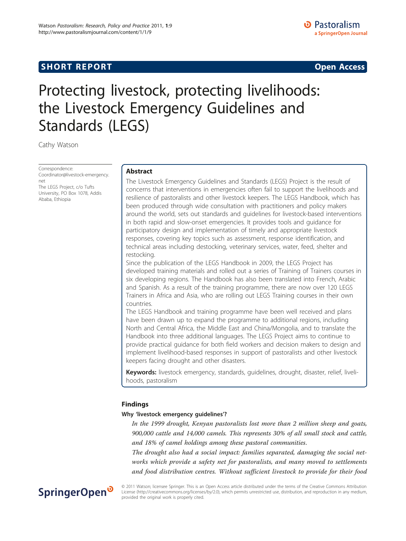## **SHORT REPORT SHORT CONSUMING THE SHORT CONSUMING THE SHORT CONSUMING THE SHORT CONSUMING THE SHORT CONSUMING THE SHORT CONSUMING THE SHORT CONSUMING THE SHORT CONSUMING THE SHORT CONSUMING THE SHORT CONSUMING THE SHORT**

# Protecting livestock, protecting livelihoods: the Livestock Emergency Guidelines and Standards (LEGS)

Cathy Watson

Correspondence: [Coordinator@livestock-emergency.](mailto:Coordinator@livestock-emergency.net) [net](mailto:Coordinator@livestock-emergency.net) The LEGS Project, c/o Tufts University, PO Box 1078, Addis Ababa, Ethiopia

## Abstract

The Livestock Emergency Guidelines and Standards (LEGS) Project is the result of concerns that interventions in emergencies often fail to support the livelihoods and resilience of pastoralists and other livestock keepers. The LEGS Handbook, which has been produced through wide consultation with practitioners and policy makers around the world, sets out standards and guidelines for livestock-based interventions in both rapid and slow-onset emergencies. It provides tools and guidance for participatory design and implementation of timely and appropriate livestock responses, covering key topics such as assessment, response identification, and technical areas including destocking, veterinary services, water, feed, shelter and restocking.

Since the publication of the LEGS Handbook in 2009, the LEGS Project has developed training materials and rolled out a series of Training of Trainers courses in six developing regions. The Handbook has also been translated into French, Arabic and Spanish. As a result of the training programme, there are now over 120 LEGS Trainers in Africa and Asia, who are rolling out LEGS Training courses in their own countries.

The LEGS Handbook and training programme have been well received and plans have been drawn up to expand the programme to additional regions, including North and Central Africa, the Middle East and China/Mongolia, and to translate the Handbook into three additional languages. The LEGS Project aims to continue to provide practical guidance for both field workers and decision makers to design and implement livelihood-based responses in support of pastoralists and other livestock keepers facing drought and other disasters.

Keywords: livestock emergency, standards, guidelines, drought, disaster, relief, livelihoods, pastoralism

## Findings

#### Why 'livestock emergency guidelines'?

In the 1999 drought, Kenyan pastoralists lost more than 2 million sheep and goats, 900,000 cattle and 14,000 camels. This represents 30% of all small stock and cattle, and 18% of camel holdings among these pastoral communities.

The drought also had a social impact: families separated, damaging the social networks which provide a safety net for pastoralists, and many moved to settlements and food distribution centres. Without sufficient livestock to provide for their food



© 2011 Watson; licensee Springer. This is an Open Access article distributed under the terms of the Creative Commons Attribution License [\(http://creativecommons.org/licenses/by/2.0](http://creativecommons.org/licenses/by/2.0)), which permits unrestricted use, distribution, and reproduction in any medium, provided the original work is properly cited.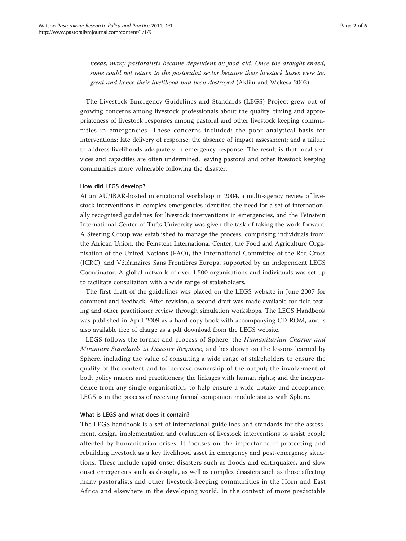needs, many pastoralists became dependent on food aid. Once the drought ended, some could not return to the pastoralist sector because their livestock losses were too great and hence their livelihood had been destroyed ([Aklilu and Wekesa 2002\)](#page-5-0).

The Livestock Emergency Guidelines and Standards (LEGS) Project grew out of growing concerns among livestock professionals about the quality, timing and appropriateness of livestock responses among pastoral and other livestock keeping communities in emergencies. These concerns included: the poor analytical basis for interventions; late delivery of response; the absence of impact assessment; and a failure to address livelihoods adequately in emergency response. The result is that local services and capacities are often undermined, leaving pastoral and other livestock keeping communities more vulnerable following the disaster.

#### How did LEGS develop?

At an AU/IBAR-hosted international workshop in 2004, a multi-agency review of livestock interventions in complex emergencies identified the need for a set of internationally recognised guidelines for livestock interventions in emergencies, and the Feinstein International Center of Tufts University was given the task of taking the work forward. A Steering Group was established to manage the process, comprising individuals from: the African Union, the Feinstein International Center, the Food and Agriculture Organisation of the United Nations (FAO), the International Committee of the Red Cross (ICRC), and Vétérinaires Sans Frontières Europa, supported by an independent LEGS Coordinator. A global network of over 1,500 organisations and individuals was set up to facilitate consultation with a wide range of stakeholders.

The first draft of the guidelines was placed on the LEGS website in June 2007 for comment and feedback. After revision, a second draft was made available for field testing and other practitioner review through simulation workshops. The LEGS Handbook was published in April 2009 as a hard copy book with accompanying CD-ROM, and is also available free of charge as a pdf download from the LEGS website.

LEGS follows the format and process of Sphere, the Humanitarian Charter and Minimum Standards in Disaster Response, and has drawn on the lessons learned by Sphere, including the value of consulting a wide range of stakeholders to ensure the quality of the content and to increase ownership of the output; the involvement of both policy makers and practitioners; the linkages with human rights; and the independence from any single organisation, to help ensure a wide uptake and acceptance. LEGS is in the process of receiving formal companion module status with Sphere.

### What is LEGS and what does it contain?

The LEGS handbook is a set of international guidelines and standards for the assessment, design, implementation and evaluation of livestock interventions to assist people affected by humanitarian crises. It focuses on the importance of protecting and rebuilding livestock as a key livelihood asset in emergency and post-emergency situations. These include rapid onset disasters such as floods and earthquakes, and slow onset emergencies such as drought, as well as complex disasters such as those affecting many pastoralists and other livestock-keeping communities in the Horn and East Africa and elsewhere in the developing world. In the context of more predictable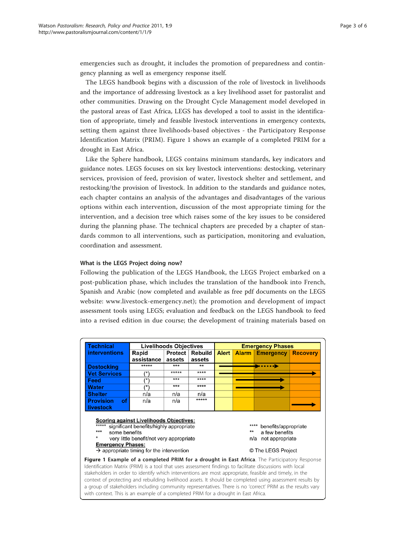emergencies such as drought, it includes the promotion of preparedness and contingency planning as well as emergency response itself.

The LEGS handbook begins with a discussion of the role of livestock in livelihoods and the importance of addressing livestock as a key livelihood asset for pastoralist and other communities. Drawing on the Drought Cycle Management model developed in the pastoral areas of East Africa, LEGS has developed a tool to assist in the identification of appropriate, timely and feasible livestock interventions in emergency contexts, setting them against three livelihoods-based objectives - the Participatory Response Identification Matrix (PRIM). Figure 1 shows an example of a completed PRIM for a drought in East Africa.

Like the Sphere handbook, LEGS contains minimum standards, key indicators and guidance notes. LEGS focuses on six key livestock interventions: destocking, veterinary services, provision of feed, provision of water, livestock shelter and settlement, and restocking/the provision of livestock. In addition to the standards and guidance notes, each chapter contains an analysis of the advantages and disadvantages of the various options within each intervention, discussion of the most appropriate timing for the intervention, and a decision tree which raises some of the key issues to be considered during the planning phase. The technical chapters are preceded by a chapter of standards common to all interventions, such as participation, monitoring and evaluation, coordination and assessment.

#### What is the LEGS Project doing now?

Following the publication of the LEGS Handbook, the LEGS Project embarked on a post-publication phase, which includes the translation of the handbook into French, Spanish and Arabic (now completed and available as free pdf documents on the LEGS website: [www.livestock-emergency.net\)](www.livestock-emergency.net); the promotion and development of impact assessment tools using LEGS; evaluation and feedback on the LEGS handbook to feed into a revised edition in due course; the development of training materials based on

| Technical                                                                                                                                                                                                                                                                                                                                                                                                                                  | <b>Livelihoods Objectives</b> |         |                | <b>Emergency Phases</b> |              |                                                                          |                 |
|--------------------------------------------------------------------------------------------------------------------------------------------------------------------------------------------------------------------------------------------------------------------------------------------------------------------------------------------------------------------------------------------------------------------------------------------|-------------------------------|---------|----------------|-------------------------|--------------|--------------------------------------------------------------------------|-----------------|
| <b>interventions</b>                                                                                                                                                                                                                                                                                                                                                                                                                       | Rapid                         | Protect | <b>Rebuild</b> | <b>Alert</b>            | <b>Alarm</b> | <b>Emergency</b>                                                         | <b>Recovery</b> |
|                                                                                                                                                                                                                                                                                                                                                                                                                                            | assistance                    | assets  | assets         |                         |              |                                                                          |                 |
| <b>Destocking</b>                                                                                                                                                                                                                                                                                                                                                                                                                          | *****                         | ***     | $***$          |                         |              | ha a a a ab                                                              |                 |
| <b>Vet Services</b>                                                                                                                                                                                                                                                                                                                                                                                                                        | (*)                           | *****   | $***$          |                         |              |                                                                          |                 |
| Feed                                                                                                                                                                                                                                                                                                                                                                                                                                       | (*)                           | $***$   | ****           |                         |              |                                                                          |                 |
| Water                                                                                                                                                                                                                                                                                                                                                                                                                                      | (*)                           | ***     | ****           |                         |              |                                                                          |                 |
| <b>Shelter</b>                                                                                                                                                                                                                                                                                                                                                                                                                             | n/a                           | n/a     | n/a            |                         |              |                                                                          |                 |
| <b>Provision</b><br>οf                                                                                                                                                                                                                                                                                                                                                                                                                     | n/a                           | n/a     | *****          |                         |              |                                                                          |                 |
| livestock                                                                                                                                                                                                                                                                                                                                                                                                                                  |                               |         |                |                         |              |                                                                          |                 |
| <b>Scoring against Livelihoods Objectives:</b><br>*****<br>significant benefits/highly appropriate<br>$***$<br>some benefits<br>*<br>very little benefit/not very appropriate<br><b>Emergency Phases:</b>                                                                                                                                                                                                                                  |                               |         |                |                         |              | **** benefits/appropriate<br>**<br>a few benefits<br>n/a not appropriate |                 |
| $\rightarrow$ appropriate timing for the intervention                                                                                                                                                                                                                                                                                                                                                                                      |                               |         |                |                         |              | © The LEGS Project                                                       |                 |
| <b>Figure 1 Example of a completed PRIM for a drought in East Africa.</b> The Participatory Response<br>Identification Matrix (PRIM) is a tool that uses assessment findings to facilitate discussions with local<br>stakeholders in order to identify which interventions are most appropriate, feasible and timely, in the<br>context of protecting and rebuilding livelihood assets. It should be completed using assessment results by |                               |         |                |                         |              |                                                                          |                 |

a group of stakeholders including community representatives. There is no 'correct' PRIM as the results vary

with context. This is an example of a completed PRIM for a drought in East Africa.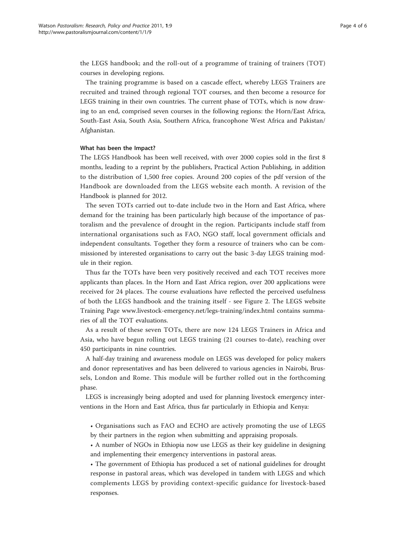the LEGS handbook; and the roll-out of a programme of training of trainers (TOT) courses in developing regions.

The training programme is based on a cascade effect, whereby LEGS Trainers are recruited and trained through regional TOT courses, and then become a resource for LEGS training in their own countries. The current phase of TOTs, which is now drawing to an end, comprised seven courses in the following regions: the Horn/East Africa, South-East Asia, South Asia, Southern Africa, francophone West Africa and Pakistan/ Afghanistan.

#### What has been the Impact?

The LEGS Handbook has been well received, with over 2000 copies sold in the first 8 months, leading to a reprint by the publishers, Practical Action Publishing, in addition to the distribution of 1,500 free copies. Around 200 copies of the pdf version of the Handbook are downloaded from the LEGS website each month. A revision of the Handbook is planned for 2012.

The seven TOTs carried out to-date include two in the Horn and East Africa, where demand for the training has been particularly high because of the importance of pastoralism and the prevalence of drought in the region. Participants include staff from international organisations such as FAO, NGO staff, local government officials and independent consultants. Together they form a resource of trainers who can be commissioned by interested organisations to carry out the basic 3-day LEGS training module in their region.

Thus far the TOTs have been very positively received and each TOT receives more applicants than places. In the Horn and East Africa region, over 200 applications were received for 24 places. The course evaluations have reflected the perceived usefulness of both the LEGS handbook and the training itself - see Figure [2.](#page-4-0) The LEGS website Training Page<www.livestock-emergency.net/legs-training/index.html> contains summaries of all the TOT evaluations.

As a result of these seven TOTs, there are now 124 LEGS Trainers in Africa and Asia, who have begun rolling out LEGS training (21 courses to-date), reaching over 450 participants in nine countries.

A half-day training and awareness module on LEGS was developed for policy makers and donor representatives and has been delivered to various agencies in Nairobi, Brussels, London and Rome. This module will be further rolled out in the forthcoming phase.

LEGS is increasingly being adopted and used for planning livestock emergency interventions in the Horn and East Africa, thus far particularly in Ethiopia and Kenya:

• Organisations such as FAO and ECHO are actively promoting the use of LEGS by their partners in the region when submitting and appraising proposals.

• A number of NGOs in Ethiopia now use LEGS as their key guideline in designing and implementing their emergency interventions in pastoral areas.

• The government of Ethiopia has produced a set of national guidelines for drought response in pastoral areas, which was developed in tandem with LEGS and which complements LEGS by providing context-specific guidance for livestock-based responses.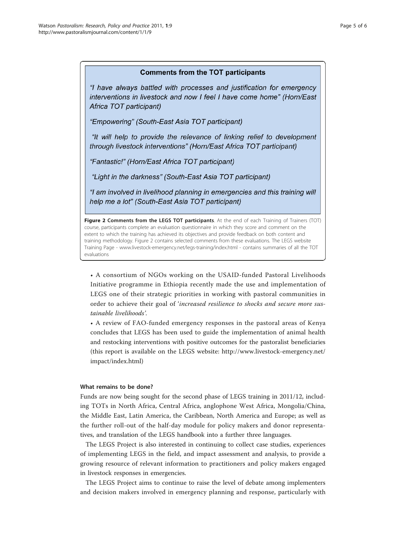#### **Comments from the TOT participants**

<span id="page-4-0"></span>"I have always battled with processes and justification for emergency interventions in livestock and now I feel I have come home" (Horn/East Africa TOT participant)

"Empowering" (South-East Asia TOT participant)

"It will help to provide the relevance of linking relief to development through livestock interventions" (Horn/East Africa TOT participant)

"Fantastic!" (Horn/East Africa TOT participant)

"Light in the darkness" (South-East Asia TOT participant)

"I am involved in livelihood planning in emergencies and this training will help me a lot" (South-East Asia TOT participant)

Figure 2 Comments from the LEGS TOT participants. At the end of each Training of Trainers (TOT) course, participants complete an evaluation questionnaire in which they score and comment on the extent to which the training has achieved its objectives and provide feedback on both content and training methodology. Figure 2 contains selected comments from these evaluations. The LEGS website Training Page -<www.livestock-emergency.net/legs-training/index.html> - contains summaries of all the TOT evaluations

• A consortium of NGOs working on the USAID-funded Pastoral Livelihoods Initiative programme in Ethiopia recently made the use and implementation of LEGS one of their strategic priorities in working with pastoral communities in order to achieve their goal of 'increased resilience to shocks and secure more sustainable livelihoods'.

• A review of FAO-funded emergency responses in the pastoral areas of Kenya concludes that LEGS has been used to guide the implementation of animal health and restocking interventions with positive outcomes for the pastoralist beneficiaries (this report is available on the LEGS website: [http://www.livestock-emergency.net/](http://www.livestock-emergency.net/impact/index.html) [impact/index.html](http://www.livestock-emergency.net/impact/index.html))

#### What remains to be done?

Funds are now being sought for the second phase of LEGS training in 2011/12, including TOTs in North Africa, Central Africa, anglophone West Africa, Mongolia/China, the Middle East, Latin America, the Caribbean, North America and Europe; as well as the further roll-out of the half-day module for policy makers and donor representatives, and translation of the LEGS handbook into a further three languages.

The LEGS Project is also interested in continuing to collect case studies, experiences of implementing LEGS in the field, and impact assessment and analysis, to provide a growing resource of relevant information to practitioners and policy makers engaged in livestock responses in emergencies.

The LEGS Project aims to continue to raise the level of debate among implementers and decision makers involved in emergency planning and response, particularly with